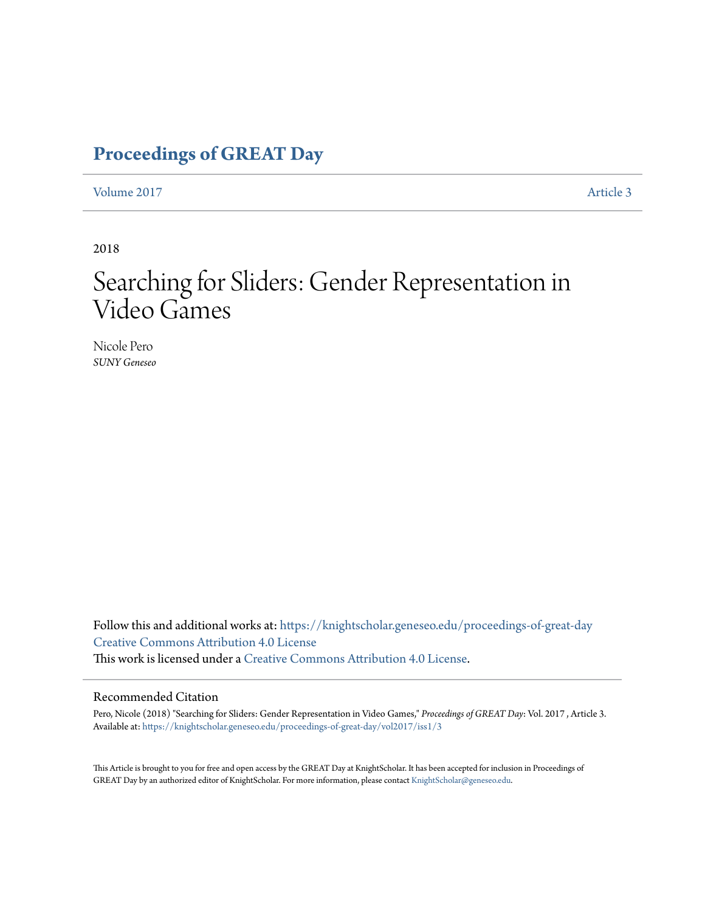### **[Proceedings of GREAT Day](https://knightscholar.geneseo.edu/proceedings-of-great-day?utm_source=knightscholar.geneseo.edu%2Fproceedings-of-great-day%2Fvol2017%2Fiss1%2F3&utm_medium=PDF&utm_campaign=PDFCoverPages)**

[Volume 2017](https://knightscholar.geneseo.edu/proceedings-of-great-day/vol2017?utm_source=knightscholar.geneseo.edu%2Fproceedings-of-great-day%2Fvol2017%2Fiss1%2F3&utm_medium=PDF&utm_campaign=PDFCoverPages) **[Article 3](https://knightscholar.geneseo.edu/proceedings-of-great-day/vol2017/iss1/3?utm_source=knightscholar.geneseo.edu%2Fproceedings-of-great-day%2Fvol2017%2Fiss1%2F3&utm_medium=PDF&utm_campaign=PDFCoverPages)** 

2018

## Searching for Sliders: Gender Representation in Video Games

Nicole Pero *SUNY Geneseo*

Follow this and additional works at: [https://knightscholar.geneseo.edu/proceedings-of-great-day](https://knightscholar.geneseo.edu/proceedings-of-great-day?utm_source=knightscholar.geneseo.edu%2Fproceedings-of-great-day%2Fvol2017%2Fiss1%2F3&utm_medium=PDF&utm_campaign=PDFCoverPages) [Creative Commons Attribution 4.0 License](http://creativecommons.org/licenses/by/4.0/) This work is licensed under a [Creative Commons Attribution 4.0 License.](http://creativecommons.org/licenses/by/4.0/)

#### Recommended Citation

Pero, Nicole (2018) "Searching for Sliders: Gender Representation in Video Games," *Proceedings of GREAT Day*: Vol. 2017 , Article 3. Available at: [https://knightscholar.geneseo.edu/proceedings-of-great-day/vol2017/iss1/3](https://knightscholar.geneseo.edu/proceedings-of-great-day/vol2017/iss1/3?utm_source=knightscholar.geneseo.edu%2Fproceedings-of-great-day%2Fvol2017%2Fiss1%2F3&utm_medium=PDF&utm_campaign=PDFCoverPages)

This Article is brought to you for free and open access by the GREAT Day at KnightScholar. It has been accepted for inclusion in Proceedings of GREAT Day by an authorized editor of KnightScholar. For more information, please contact [KnightScholar@geneseo.edu.](mailto:KnightScholar@geneseo.edu)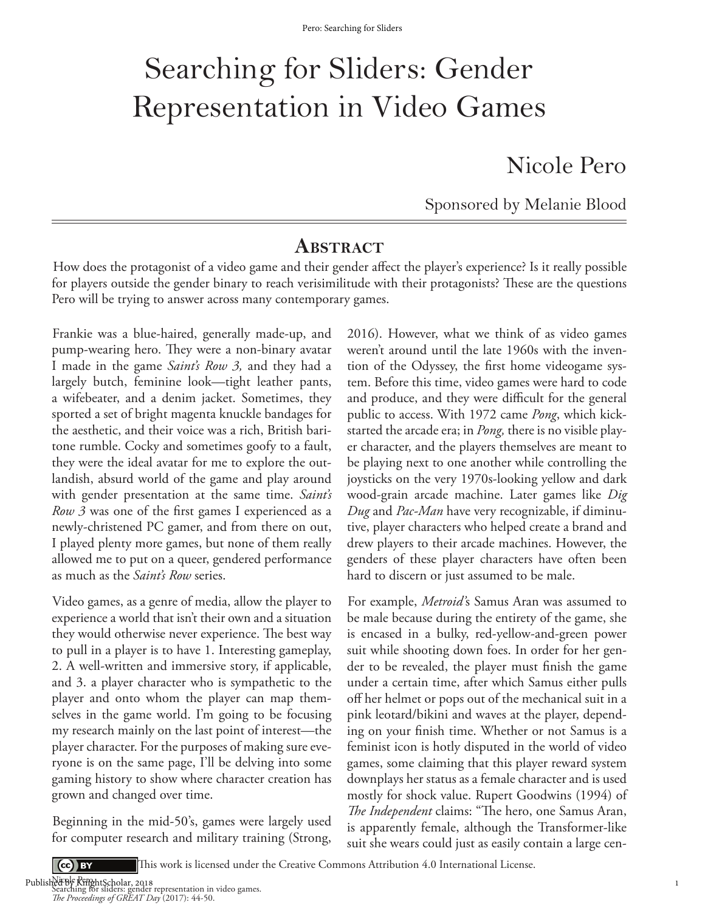# Searching for Sliders: Gender Representation in Video Games

Nicole Pero

Sponsored by Melanie Blood

### **ABSTRACT**

How does the protagonist of a video game and their gender affect the player's experience? Is it really possible for players outside the gender binary to reach verisimilitude with their protagonists? These are the questions Pero will be trying to answer across many contemporary games.

Frankie was a blue-haired, generally made-up, and pump-wearing hero. They were a non-binary avatar I made in the game *Saint's Row 3,* and they had a largely butch, feminine look—tight leather pants, a wifebeater, and a denim jacket. Sometimes, they sported a set of bright magenta knuckle bandages for the aesthetic, and their voice was a rich, British baritone rumble. Cocky and sometimes goofy to a fault, they were the ideal avatar for me to explore the outlandish, absurd world of the game and play around with gender presentation at the same time. *Saint's Row 3* was one of the first games I experienced as a newly-christened PC gamer, and from there on out, I played plenty more games, but none of them really allowed me to put on a queer, gendered performance as much as the *Saint's Row* series.

Video games, as a genre of media, allow the player to experience a world that isn't their own and a situation they would otherwise never experience. The best way to pull in a player is to have 1. Interesting gameplay, 2. A well-written and immersive story, if applicable, and 3. a player character who is sympathetic to the player and onto whom the player can map themselves in the game world. I'm going to be focusing my research mainly on the last point of interest—the player character. For the purposes of making sure everyone is on the same page, I'll be delving into some gaming history to show where character creation has grown and changed over time.

Beginning in the mid-50's, games were largely used for computer research and military training (Strong,

2016). However, what we think of as video games weren't around until the late 1960s with the invention of the Odyssey, the first home videogame system. Before this time, video games were hard to code and produce, and they were difficult for the general public to access. With 1972 came *Pong*, which kickstarted the arcade era; in *Pong,* there is no visible player character, and the players themselves are meant to be playing next to one another while controlling the joysticks on the very 1970s-looking yellow and dark wood-grain arcade machine. Later games like *Dig Dug* and *Pac-Man* have very recognizable, if diminutive, player characters who helped create a brand and drew players to their arcade machines. However, the genders of these player characters have often been hard to discern or just assumed to be male.

For example, *Metroid'*s Samus Aran was assumed to be male because during the entirety of the game, she is encased in a bulky, red-yellow-and-green power suit while shooting down foes. In order for her gender to be revealed, the player must finish the game under a certain time, after which Samus either pulls off her helmet or pops out of the mechanical suit in a pink leotard/bikini and waves at the player, depending on your finish time. Whether or not Samus is a feminist icon is hotly disputed in the world of video games, some claiming that this player reward system downplays her status as a female character and is used mostly for shock value. Rupert Goodwins (1994) of *The Independent* claims: "The hero, one Samus Aran, is apparently female, although the Transformer-like suit she wears could just as easily contain a large cen-

1

 $\left( \text{cc} \right)$  BY

This work is licensed under the Creative Commons Attribution 4.0 International License.

Nicole Pero . Searching for sliders: gender representation in video games. *e Proceedings of GREAT Day* (2017): 44-50. Published By RinghtScholar, 2018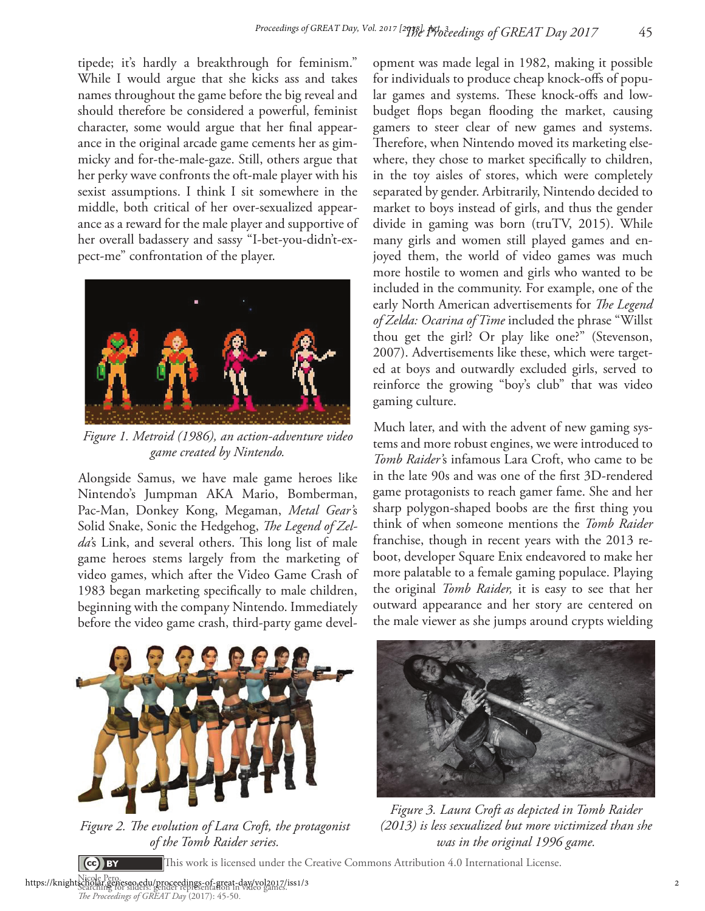tipede; it's hardly a breakthrough for feminism." While I would argue that she kicks ass and takes names throughout the game before the big reveal and should therefore be considered a powerful, feminist character, some would argue that her final appearance in the original arcade game cements her as gimmicky and for-the-male-gaze. Still, others argue that her perky wave confronts the oft-male player with his sexist assumptions. I think I sit somewhere in the middle, both critical of her over-sexualized appearance as a reward for the male player and supportive of her overall badassery and sassy "I-bet-you-didn't-expect-me" confrontation of the player.



*Figure 1. Metroid (1986), an action-adventure video game created by Nintendo.*

Alongside Samus, we have male game heroes like Nintendo's Jumpman AKA Mario, Bomberman, Pac-Man, Donkey Kong, Megaman, *Metal Gear'*s Solid Snake, Sonic the Hedgehog, *The Legend of Zel*da's Link, and several others. This long list of male game heroes stems largely from the marketing of video games, which after the Video Game Crash of 1983 began marketing specifically to male children, beginning with the company Nintendo. Immediately before the video game crash, third-party game devel-



Figure 2. The evolution of Lara Croft, the protagonist *of the Tomb Raider series.*

opment was made legal in 1982, making it possible for individuals to produce cheap knock-offs of popular games and systems. These knock-offs and lowbudget flops began flooding the market, causing gamers to steer clear of new games and systems. Therefore, when Nintendo moved its marketing elsewhere, they chose to market specifically to children, in the toy aisles of stores, which were completely separated by gender. Arbitrarily, Nintendo decided to market to boys instead of girls, and thus the gender divide in gaming was born (truTV, 2015). While many girls and women still played games and enjoyed them, the world of video games was much more hostile to women and girls who wanted to be included in the community. For example, one of the early North American advertisements for *The Legend of Zelda: Ocarina of Time* included the phrase "Willst thou get the girl? Or play like one?" (Stevenson, 2007). Advertisements like these, which were targeted at boys and outwardly excluded girls, served to reinforce the growing "boy's club" that was video gaming culture.

Much later, and with the advent of new gaming systems and more robust engines, we were introduced to *Tomb Raider'*s infamous Lara Croft, who came to be in the late 90s and was one of the first 3D-rendered game protagonists to reach gamer fame. She and her sharp polygon-shaped boobs are the first thing you think of when someone mentions the *Tomb Raider*  franchise, though in recent years with the 2013 reboot, developer Square Enix endeavored to make her more palatable to a female gaming populace. Playing the original *Tomb Raider,* it is easy to see that her outward appearance and her story are centered on the male viewer as she jumps around crypts wielding



*Figure 3. Laura Croft as depicted in Tomb Raider (2013) is less sexualized but more victimized than she was in the original 1996 game.*

This work is licensed under the Creative Commons Attribution 4.0 International License.

Nicole Pero . https://knightscholar.geneseo.edu/proceedings-of-great-day/vol2017/iss1/3<br>https://knightscholar.geneseo.edu/proceedings-of-great-day/vol2017/iss1/3<br>*The Proceedings of GREAT Day* (2017): 45-50.

(ce) BY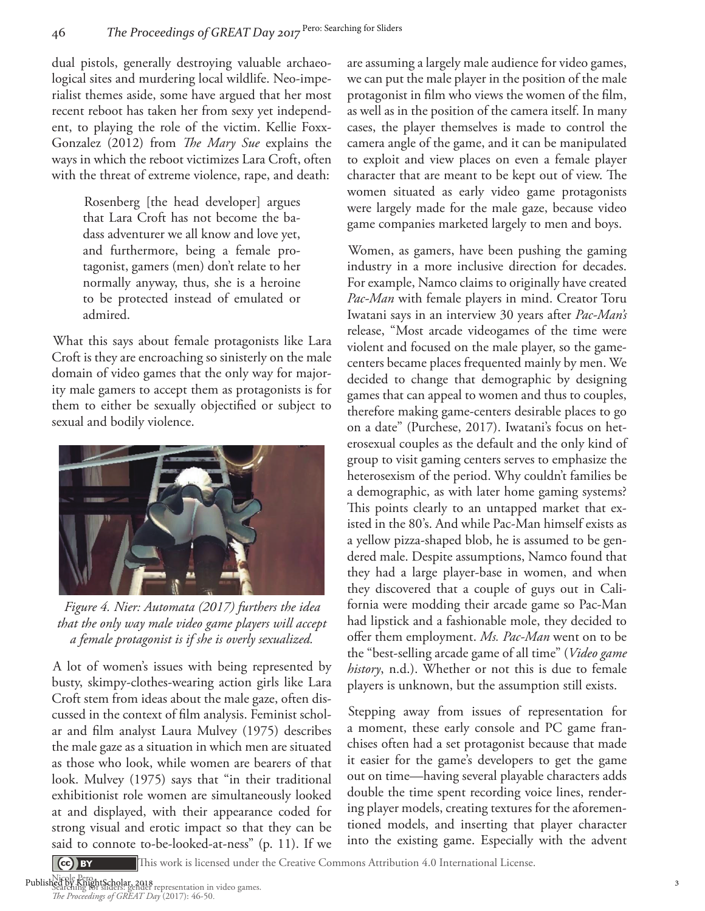dual pistols, generally destroying valuable archaeological sites and murdering local wildlife. Neo-imperialist themes aside, some have argued that her most recent reboot has taken her from sexy yet independent, to playing the role of the victim. Kellie Foxx-Gonzalez (2012) from *The Mary Sue* explains the ways in which the reboot victimizes Lara Croft, often with the threat of extreme violence, rape, and death:

> Rosenberg [the head developer] argues that Lara Croft has not become the badass adventurer we all know and love yet, and furthermore, being a female protagonist, gamers (men) don't relate to her normally anyway, thus, she is a heroine to be protected instead of emulated or admired.

What this says about female protagonists like Lara Croft is they are encroaching so sinisterly on the male domain of video games that the only way for majority male gamers to accept them as protagonists is for them to either be sexually objectified or subject to sexual and bodily violence.



*Figure 4. Nier: Automata (2017) furthers the idea that the only way male video game players will accept a female protagonist is if she is overly sexualized.*

A lot of women's issues with being represented by busty, skimpy-clothes-wearing action girls like Lara Croft stem from ideas about the male gaze, often discussed in the context of film analysis. Feminist scholar and film analyst Laura Mulvey (1975) describes the male gaze as a situation in which men are situated as those who look, while women are bearers of that look. Mulvey (1975) says that "in their traditional exhibitionist role women are simultaneously looked at and displayed, with their appearance coded for strong visual and erotic impact so that they can be said to connote to-be-looked-at-ness" (p. 11). If we

are assuming a largely male audience for video games, we can put the male player in the position of the male protagonist in film who views the women of the film, as well as in the position of the camera itself. In many cases, the player themselves is made to control the camera angle of the game, and it can be manipulated to exploit and view places on even a female player character that are meant to be kept out of view. The women situated as early video game protagonists were largely made for the male gaze, because video game companies marketed largely to men and boys.

Women, as gamers, have been pushing the gaming industry in a more inclusive direction for decades. For example, Namco claims to originally have created *Pac-Man* with female players in mind. Creator Toru Iwatani says in an interview 30 years after *Pac-Man's*  release, "Most arcade videogames of the time were violent and focused on the male player, so the gamecenters became places frequented mainly by men. We decided to change that demographic by designing games that can appeal to women and thus to couples, therefore making game-centers desirable places to go on a date" (Purchese, 2017). Iwatani's focus on heterosexual couples as the default and the only kind of group to visit gaming centers serves to emphasize the heterosexism of the period. Why couldn't families be a demographic, as with later home gaming systems? This points clearly to an untapped market that existed in the 80's. And while Pac-Man himself exists as a yellow pizza-shaped blob, he is assumed to be gendered male. Despite assumptions, Namco found that they had a large player-base in women, and when they discovered that a couple of guys out in California were modding their arcade game so Pac-Man had lipstick and a fashionable mole, they decided to offer them employment. *Ms. Pac-Man* went on to be the "best-selling arcade game of all time" (*Video game history*, n.d.). Whether or not this is due to female players is unknown, but the assumption still exists.

Stepping away from issues of representation for a moment, these early console and PC game franchises often had a set protagonist because that made it easier for the game's developers to get the game out on time—having several playable characters adds double the time spent recording voice lines, rendering player models, creating textures for the aforementioned models, and inserting that player character into the existing game. Especially with the advent

 $\left(\text{ce}\right)$  BY

This work is licensed under the Creative Commons Attribution 4.0 International License.

Nicole Pero . Published by KnightScholar, 2018<br>Searching for sliders: gender representation in video games.<br>*The Proceedings of GREAT Day* (2017): 46-50.

3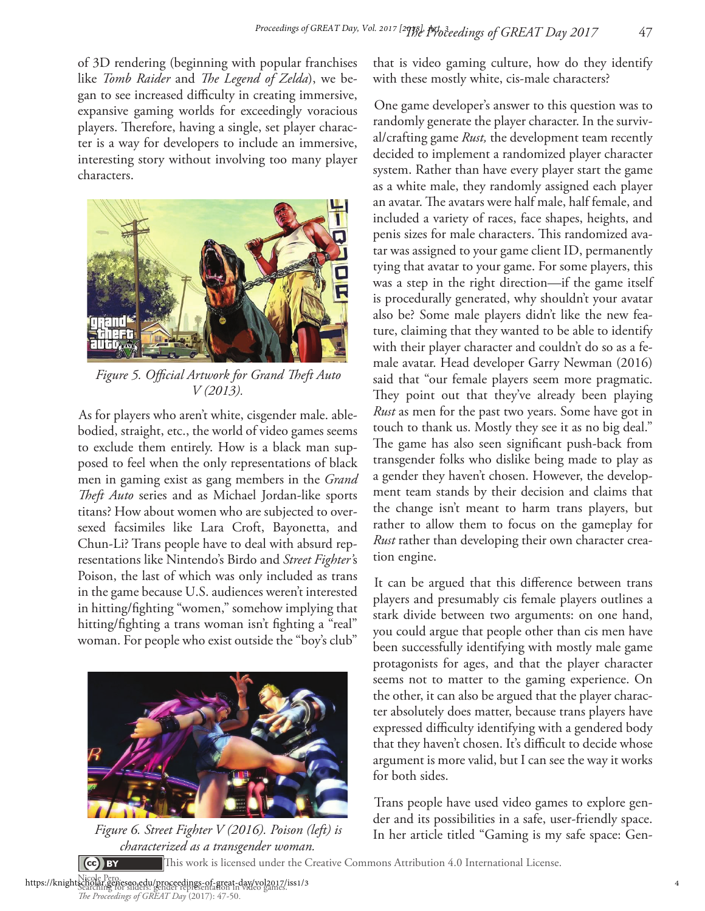of 3D rendering (beginning with popular franchises like *Tomb Raider* and *The Legend of Zelda*), we began to see increased difficulty in creating immersive, expansive gaming worlds for exceedingly voracious players. Therefore, having a single, set player character is a way for developers to include an immersive, interesting story without involving too many player characters.



Figure 5. Official Artwork for Grand Theft Auto *V (2013).*

As for players who aren't white, cisgender male. ablebodied, straight, etc., the world of video games seems to exclude them entirely. How is a black man supposed to feel when the only representations of black men in gaming exist as gang members in the *Grand*  Theft Auto series and as Michael Jordan-like sports titans? How about women who are subjected to oversexed facsimiles like Lara Croft, Bayonetta, and Chun-Li? Trans people have to deal with absurd representations like Nintendo's Birdo and *Street Fighter'*s Poison, the last of which was only included as trans in the game because U.S. audiences weren't interested in hitting/fighting "women," somehow implying that hitting/fighting a trans woman isn't fighting a "real" woman. For people who exist outside the "boy's club"



*characterized as a transgender woman.*  $\left(\text{ce}\right)$  BY

that is video gaming culture, how do they identify with these mostly white, cis-male characters?

One game developer's answer to this question was to randomly generate the player character. In the survival/crafting game *Rust,* the development team recently decided to implement a randomized player character system. Rather than have every player start the game as a white male, they randomly assigned each player an avatar. The avatars were half male, half female, and included a variety of races, face shapes, heights, and penis sizes for male characters. This randomized avatar was assigned to your game client ID, permanently tying that avatar to your game. For some players, this was a step in the right direction—if the game itself is procedurally generated, why shouldn't your avatar also be? Some male players didn't like the new feature, claiming that they wanted to be able to identify with their player character and couldn't do so as a female avatar. Head developer Garry Newman (2016) said that "our female players seem more pragmatic. They point out that they've already been playing *Rust* as men for the past two years. Some have got in touch to thank us. Mostly they see it as no big deal." The game has also seen significant push-back from transgender folks who dislike being made to play as a gender they haven't chosen. However, the development team stands by their decision and claims that the change isn't meant to harm trans players, but rather to allow them to focus on the gameplay for *Rust* rather than developing their own character creation engine.

It can be argued that this difference between trans players and presumably cis female players outlines a stark divide between two arguments: on one hand, you could argue that people other than cis men have been successfully identifying with mostly male game protagonists for ages, and that the player character seems not to matter to the gaming experience. On the other, it can also be argued that the player character absolutely does matter, because trans players have expressed difficulty identifying with a gendered body that they haven't chosen. It's difficult to decide whose argument is more valid, but I can see the way it works for both sides.

Trans people have used video games to explore gender and its possibilities in a safe, user-friendly space. Figure 6. Street Fighter V (2016). Poison (left) is *In her article titled "Gaming is my safe space: Gen-*

This work is licensed under the Creative Commons Attribution 4.0 International License.

Nicole Pero . https://knightscholar.geneseo.edu/proceedings-of-great-day/vol2017/iss1/3

The Proceedings of GREAT Day (2017): 47-50.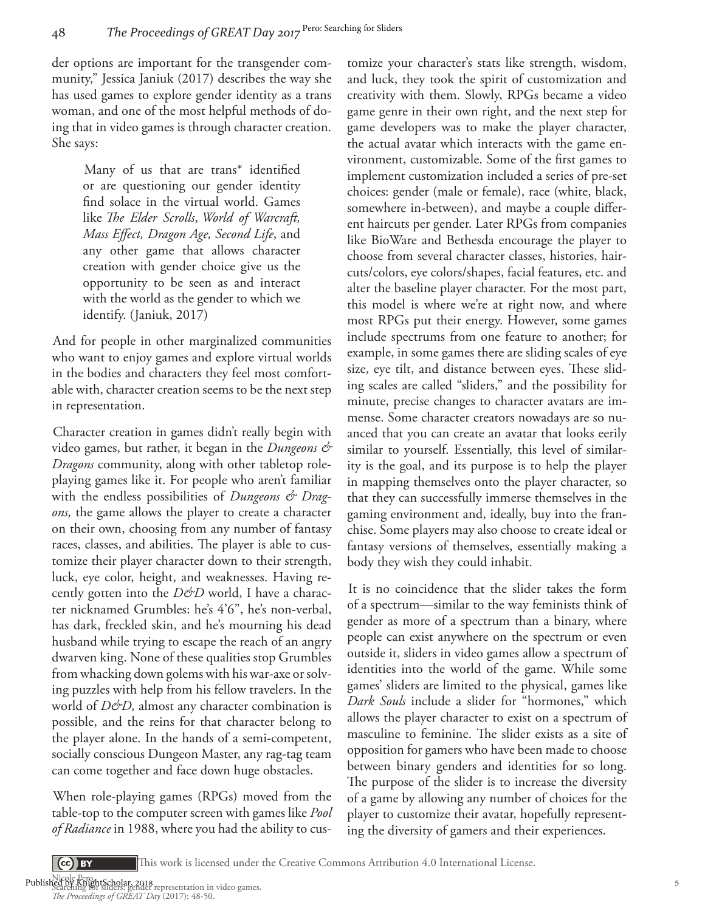der options are important for the transgender community," Jessica Janiuk (2017) describes the way she has used games to explore gender identity as a trans woman, and one of the most helpful methods of doing that in video games is through character creation. She says:

> Many of us that are trans\* identified or are questioning our gender identity find solace in the virtual world. Games like *The Elder Scrolls*, *World of Warcraft*, *Mass Effect, Dragon Age, Second Life*, and any other game that allows character creation with gender choice give us the opportunity to be seen as and interact with the world as the gender to which we identify. (Janiuk, 2017)

And for people in other marginalized communities who want to enjoy games and explore virtual worlds in the bodies and characters they feel most comfortable with, character creation seems to be the next step in representation.

Character creation in games didn't really begin with video games, but rather, it began in the *Dungeons & Dragons* community, along with other tabletop roleplaying games like it. For people who aren't familiar with the endless possibilities of *Dungeons & Dragons,* the game allows the player to create a character on their own, choosing from any number of fantasy races, classes, and abilities. The player is able to customize their player character down to their strength, luck, eye color, height, and weaknesses. Having recently gotten into the *D&D* world, I have a character nicknamed Grumbles: he's 4'6", he's non-verbal, has dark, freckled skin, and he's mourning his dead husband while trying to escape the reach of an angry dwarven king. None of these qualities stop Grumbles from whacking down golems with his war-axe or solving puzzles with help from his fellow travelers. In the world of *D&D*, almost any character combination is possible, and the reins for that character belong to the player alone. In the hands of a semi-competent, socially conscious Dungeon Master, any rag-tag team can come together and face down huge obstacles.

When role-playing games (RPGs) moved from the table-top to the computer screen with games like *Pool of Radiance* in 1988, where you had the ability to customize your character's stats like strength, wisdom, and luck, they took the spirit of customization and creativity with them. Slowly, RPGs became a video game genre in their own right, and the next step for game developers was to make the player character, the actual avatar which interacts with the game environment, customizable. Some of the first games to implement customization included a series of pre-set choices: gender (male or female), race (white, black, somewhere in-between), and maybe a couple different haircuts per gender. Later RPGs from companies like BioWare and Bethesda encourage the player to choose from several character classes, histories, haircuts/colors, eye colors/shapes, facial features, etc. and alter the baseline player character. For the most part, this model is where we're at right now, and where most RPGs put their energy. However, some games include spectrums from one feature to another; for example, in some games there are sliding scales of eye size, eye tilt, and distance between eyes. These sliding scales are called "sliders," and the possibility for minute, precise changes to character avatars are immense. Some character creators nowadays are so nuanced that you can create an avatar that looks eerily similar to yourself. Essentially, this level of similarity is the goal, and its purpose is to help the player in mapping themselves onto the player character, so that they can successfully immerse themselves in the gaming environment and, ideally, buy into the franchise. Some players may also choose to create ideal or fantasy versions of themselves, essentially making a body they wish they could inhabit.

It is no coincidence that the slider takes the form of a spectrum—similar to the way feminists think of gender as more of a spectrum than a binary, where people can exist anywhere on the spectrum or even outside it, sliders in video games allow a spectrum of identities into the world of the game. While some games' sliders are limited to the physical, games like *Dark Souls* include a slider for "hormones," which allows the player character to exist on a spectrum of masculine to feminine. The slider exists as a site of opposition for gamers who have been made to choose between binary genders and identities for so long. The purpose of the slider is to increase the diversity of a game by allowing any number of choices for the player to customize their avatar, hopefully representing the diversity of gamers and their experiences.

This work is licensed under the Creative Commons Attribution 4.0 International License.

Nicole Pero .

 $\left( \text{cc} \right)$  BY

Published by KnightScholar, 2018<br>Searching for sliders: gender representation in video games.<br>*The Proceedings of GREAT Day* (2017): 48-50.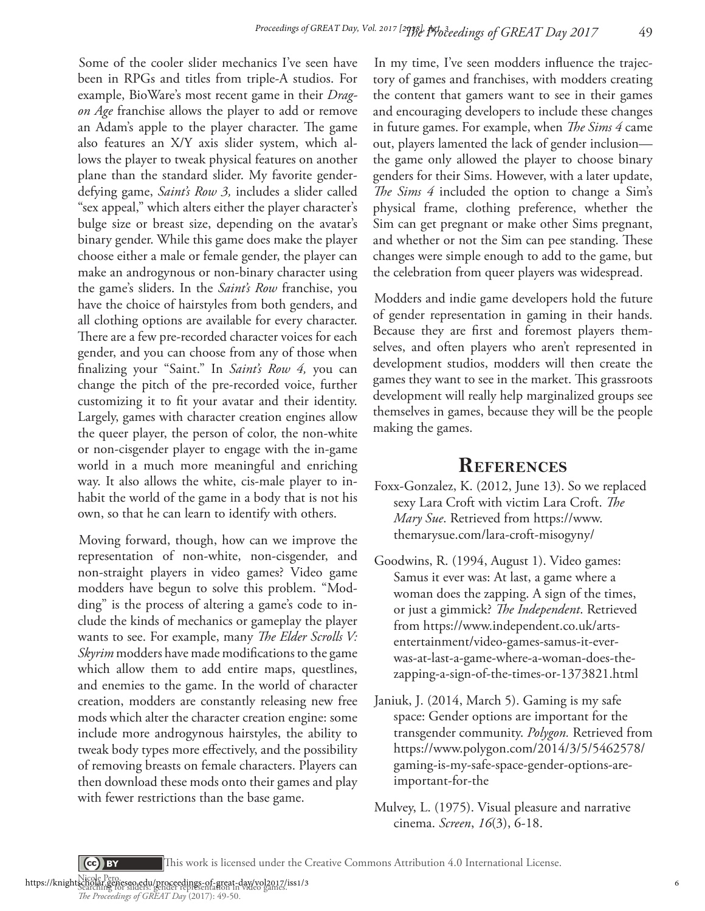Some of the cooler slider mechanics I've seen have been in RPGs and titles from triple-A studios. For example, BioWare's most recent game in their *Dragon Age* franchise allows the player to add or remove an Adam's apple to the player character. The game also features an X/Y axis slider system, which allows the player to tweak physical features on another plane than the standard slider. My favorite genderdefying game, *Saint's Row 3,* includes a slider called "sex appeal," which alters either the player character's bulge size or breast size, depending on the avatar's binary gender. While this game does make the player choose either a male or female gender, the player can make an androgynous or non-binary character using the game's sliders. In the *Saint's Row* franchise, you have the choice of hairstyles from both genders, and all clothing options are available for every character. There are a few pre-recorded character voices for each gender, and you can choose from any of those when nalizing your "Saint." In *Saint's Row 4,* you can change the pitch of the pre-recorded voice, further customizing it to fit your avatar and their identity. Largely, games with character creation engines allow the queer player, the person of color, the non-white or non-cisgender player to engage with the in-game world in a much more meaningful and enriching way. It also allows the white, cis-male player to inhabit the world of the game in a body that is not his own, so that he can learn to identify with others.

Moving forward, though, how can we improve the representation of non-white, non-cisgender, and non-straight players in video games? Video game modders have begun to solve this problem. "Modding" is the process of altering a game's code to include the kinds of mechanics or gameplay the player wants to see. For example, many *The Elder Scrolls V: Skyrim* modders have made modifications to the game which allow them to add entire maps, questlines, and enemies to the game. In the world of character creation, modders are constantly releasing new free mods which alter the character creation engine: some include more androgynous hairstyles, the ability to tweak body types more effectively, and the possibility of removing breasts on female characters. Players can then download these mods onto their games and play with fewer restrictions than the base game.

In my time, I've seen modders influence the trajectory of games and franchises, with modders creating the content that gamers want to see in their games and encouraging developers to include these changes in future games. For example, when *The Sims 4* came out, players lamented the lack of gender inclusion the game only allowed the player to choose binary genders for their Sims. However, with a later update, The Sims 4 included the option to change a Sim's physical frame, clothing preference, whether the Sim can get pregnant or make other Sims pregnant, and whether or not the Sim can pee standing. These changes were simple enough to add to the game, but the celebration from queer players was widespread.

Modders and indie game developers hold the future of gender representation in gaming in their hands. Because they are first and foremost players themselves, and often players who aren't represented in development studios, modders will then create the games they want to see in the market. This grassroots development will really help marginalized groups see themselves in games, because they will be the people making the games.

### **REFERENCES**

- Foxx-Gonzalez, K. (2012, June 13). So we replaced sexy Lara Croft with victim Lara Croft. The *Mary Sue*. Retrieved from https://www. themarysue.com/lara-croft-misogyny/
- Goodwins, R. (1994, August 1). Video games: Samus it ever was: At last, a game where a woman does the zapping. A sign of the times, or just a gimmick? The Independent. Retrieved from https://www.independent.co.uk/artsentertainment/video-games-samus-it-everwas-at-last-a-game-where-a-woman-does-thezapping-a-sign-of-the-times-or-1373821.html
- Janiuk, J. (2014, March 5). Gaming is my safe space: Gender options are important for the transgender community. *Polygon.* Retrieved from https://www.polygon.com/2014/3/5/5462578/ gaming-is-my-safe-space-gender-options-areimportant-for-the
- Mulvey, L. (1975). Visual pleasure and narrative cinema. *Screen*, *16*(3), 6-18.

This work is licensed under the Creative Commons Attribution 4.0 International License.

Nicole Pero . https://knightscholar.geneseo.edu/proceedings-of-great-day/vol2017/iss1/3<br>https://knightscholar.geneseo.edu/proceedings-of-great-day/vol2017/iss1/3<br>*The Proceedings of GREAT Day* (2017): 49-50.

 $\left($  Ce $\right)$  BY